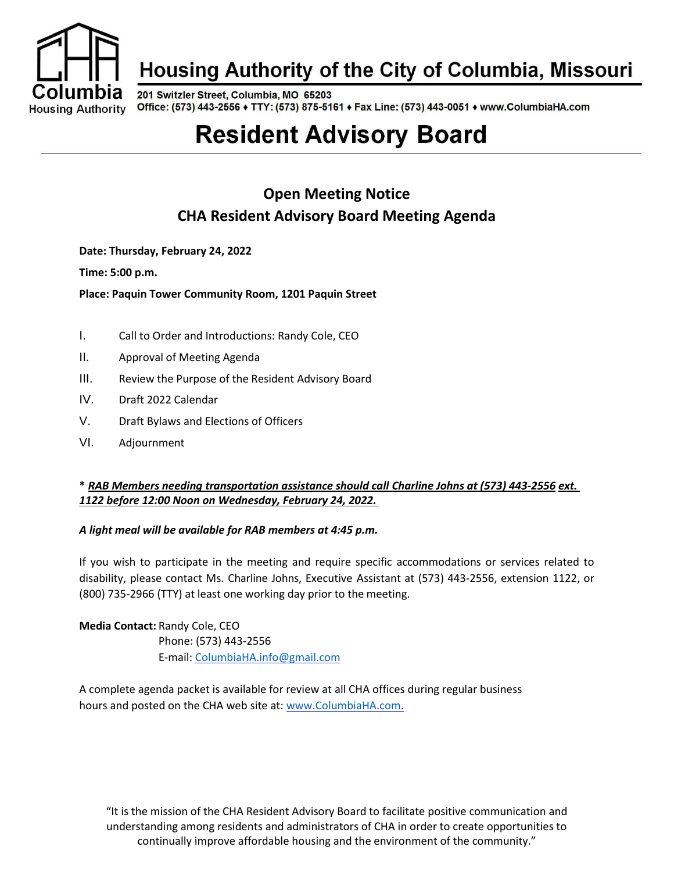

# Housing Authority of the City of Columbia, Missouri

201 Switzler Street, Columbia, MO 65203 Office: (573) 443-2556 + TTY: (573) 875-5161 + Fax Line: (573) 443-0051 + www.ColumbiaHA.com

# **Resident Advisory Board**

# **Open Meeting Notice CHA Resident Advisory Board Meeting Agenda**

**Date: Thursday, February 24, 2022**

**Time: 5:00 p.m.**

**Place: Paquin Tower Community Room, 1201 Paquin Street**

- I. Call to Order and Introductions: Randy Cole, CEO
- II. Approval of Meeting Agenda
- III. Review the Purpose of the Resident Advisory Board
- IV. Draft 2022 Calendar
- V. Draft Bylaws and Elections of Officers
- VI. Adjournment

#### **\*** *RAB Members needing transportation assistance should call Charline Johns at (573) 443-2556 ext. 1122 before 12:00 Noon on Wednesday, February 24, 2022.*

#### *A light meal will be available for RAB members at 4:45 p.m.*

If you wish to participate in the meeting and require specific accommodations or services related to disability, please contact Ms. Charline Johns, Executive Assistant at (573) 443-2556, extension 1122, or (800) 735-2966 (TTY) at least one working day prior to the meeting.

**Media Contact:** Randy Cole, CEO Phone: (573) 443-2556 E-mail: [ColumbiaHA.info@gmail.com](mailto:ColumbiaHA.info@gmail.com)

A complete agenda packet is available for review at all CHA offices during regular business hours and posted on the CHA web site at: [www.ColumbiaHA.com.](http://www.columbiaha.com/)

"It is the mission of the CHA Resident Advisory Board to facilitate positive communication and understanding among residents and administrators of CHA in order to create opportunities to continually improve affordable housing and the environment of the community."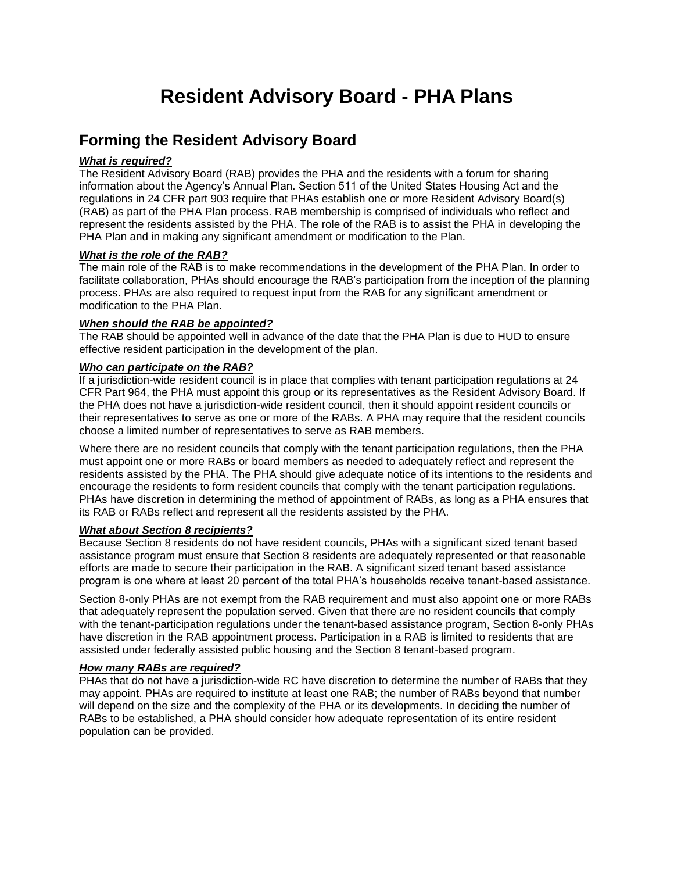# **Resident Advisory Board - PHA Plans**

# **Forming the Resident Advisory Board**

#### *What is required?*

The Resident Advisory Board (RAB) provides the PHA and the residents with a forum for sharing information about the Agency's Annual Plan. Section 511 of the United States Housing Act and the regulations in 24 CFR part 903 require that PHAs establish one or more Resident Advisory Board(s) (RAB) as part of the PHA Plan process. RAB membership is comprised of individuals who reflect and represent the residents assisted by the PHA. The role of the RAB is to assist the PHA in developing the PHA Plan and in making any significant amendment or modification to the Plan.

#### *What is the role of the RAB?*

The main role of the RAB is to make recommendations in the development of the PHA Plan. In order to facilitate collaboration, PHAs should encourage the RAB's participation from the inception of the planning process. PHAs are also required to request input from the RAB for any significant amendment or modification to the PHA Plan.

#### *When should the RAB be appointed?*

The RAB should be appointed well in advance of the date that the PHA Plan is due to HUD to ensure effective resident participation in the development of the plan.

#### *Who can participate on the RAB?*

If a jurisdiction-wide resident council is in place that complies with tenant participation regulations at 24 CFR Part 964, the PHA must appoint this group or its representatives as the Resident Advisory Board. If the PHA does not have a jurisdiction-wide resident council, then it should appoint resident councils or their representatives to serve as one or more of the RABs. A PHA may require that the resident councils choose a limited number of representatives to serve as RAB members.

Where there are no resident councils that comply with the tenant participation regulations, then the PHA must appoint one or more RABs or board members as needed to adequately reflect and represent the residents assisted by the PHA. The PHA should give adequate notice of its intentions to the residents and encourage the residents to form resident councils that comply with the tenant participation regulations. PHAs have discretion in determining the method of appointment of RABs, as long as a PHA ensures that its RAB or RABs reflect and represent all the residents assisted by the PHA.

#### *What about Section 8 recipients?*

Because Section 8 residents do not have resident councils, PHAs with a significant sized tenant based assistance program must ensure that Section 8 residents are adequately represented or that reasonable efforts are made to secure their participation in the RAB. A significant sized tenant based assistance program is one where at least 20 percent of the total PHA's households receive tenant-based assistance.

Section 8-only PHAs are not exempt from the RAB requirement and must also appoint one or more RABs that adequately represent the population served. Given that there are no resident councils that comply with the tenant-participation regulations under the tenant-based assistance program, Section 8-only PHAs have discretion in the RAB appointment process. Participation in a RAB is limited to residents that are assisted under federally assisted public housing and the Section 8 tenant-based program.

#### *How many RABs are required?*

PHAs that do not have a jurisdiction-wide RC have discretion to determine the number of RABs that they may appoint. PHAs are required to institute at least one RAB; the number of RABs beyond that number will depend on the size and the complexity of the PHA or its developments. In deciding the number of RABs to be established, a PHA should consider how adequate representation of its entire resident population can be provided.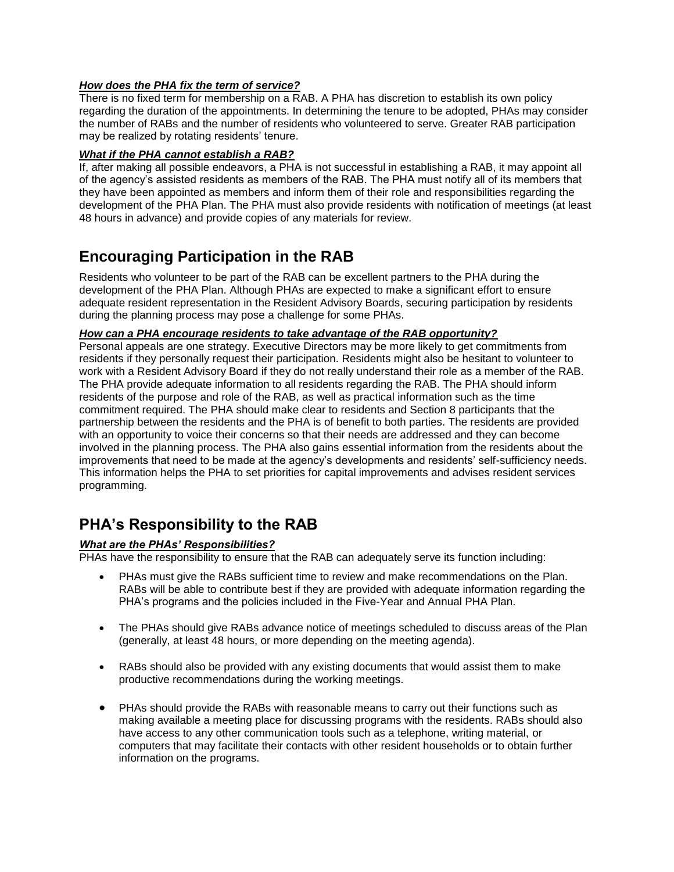#### *How does the PHA fix the term of service?*

There is no fixed term for membership on a RAB. A PHA has discretion to establish its own policy regarding the duration of the appointments. In determining the tenure to be adopted, PHAs may consider the number of RABs and the number of residents who volunteered to serve. Greater RAB participation may be realized by rotating residents' tenure.

#### *What if the PHA cannot establish a RAB?*

If, after making all possible endeavors, a PHA is not successful in establishing a RAB, it may appoint all of the agency's assisted residents as members of the RAB. The PHA must notify all of its members that they have been appointed as members and inform them of their role and responsibilities regarding the development of the PHA Plan. The PHA must also provide residents with notification of meetings (at least 48 hours in advance) and provide copies of any materials for review.

# **Encouraging Participation in the RAB**

Residents who volunteer to be part of the RAB can be excellent partners to the PHA during the development of the PHA Plan. Although PHAs are expected to make a significant effort to ensure adequate resident representation in the Resident Advisory Boards, securing participation by residents during the planning process may pose a challenge for some PHAs.

#### *How can a PHA encourage residents to take advantage of the RAB opportunity?*

Personal appeals are one strategy. Executive Directors may be more likely to get commitments from residents if they personally request their participation. Residents might also be hesitant to volunteer to work with a Resident Advisory Board if they do not really understand their role as a member of the RAB. The PHA provide adequate information to all residents regarding the RAB. The PHA should inform residents of the purpose and role of the RAB, as well as practical information such as the time commitment required. The PHA should make clear to residents and Section 8 participants that the partnership between the residents and the PHA is of benefit to both parties. The residents are provided with an opportunity to voice their concerns so that their needs are addressed and they can become involved in the planning process. The PHA also gains essential information from the residents about the improvements that need to be made at the agency's developments and residents' self-sufficiency needs. This information helps the PHA to set priorities for capital improvements and advises resident services programming.

# **PHA's Responsibility to the RAB**

#### *What are the PHAs' Responsibilities?*

PHAs have the responsibility to ensure that the RAB can adequately serve its function including:

- PHAs must give the RABs sufficient time to review and make recommendations on the Plan. RABs will be able to contribute best if they are provided with adequate information regarding the PHA's programs and the policies included in the Five-Year and Annual PHA Plan.
- The PHAs should give RABs advance notice of meetings scheduled to discuss areas of the Plan (generally, at least 48 hours, or more depending on the meeting agenda).
- RABs should also be provided with any existing documents that would assist them to make productive recommendations during the working meetings.
- PHAs should provide the RABs with reasonable means to carry out their functions such as making available a meeting place for discussing programs with the residents. RABs should also have access to any other communication tools such as a telephone, writing material, or computers that may facilitate their contacts with other resident households or to obtain further information on the programs.